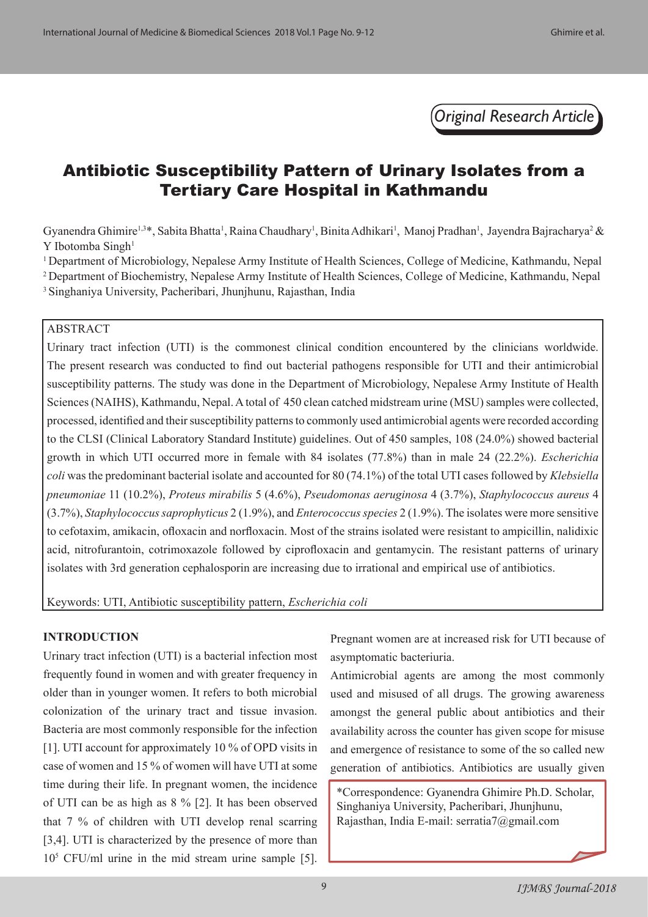*Original Research Article*

# Antibiotic Susceptibility Pattern of Urinary Isolates from a Tertiary Care Hospital in Kathmandu

Gyanendra Ghimire<sup>1,3\*</sup>, Sabita Bhatta<sup>1</sup>, Raina Chaudhary<sup>1</sup>, Binita Adhikari<sup>1</sup>, Manoj Pradhan<sup>1</sup>, Jayendra Bajracharya<sup>2</sup> & Y Ibotomba Singh<sup>1</sup>

<sup>1</sup> Department of Microbiology, Nepalese Army Institute of Health Sciences, College of Medicine, Kathmandu, Nepal <sup>2</sup> Department of Biochemistry, Nepalese Army Institute of Health Sciences, College of Medicine, Kathmandu, Nepal <sup>3</sup> Singhaniya University, Pacheribari, Jhunjhunu, Rajasthan, India

# ABSTRACT

Urinary tract infection (UTI) is the commonest clinical condition encountered by the clinicians worldwide. The present research was conducted to find out bacterial pathogens responsible for UTI and their antimicrobial susceptibility patterns. The study was done in the Department of Microbiology, Nepalese Army Institute of Health Sciences (NAIHS), Kathmandu, Nepal. A total of 450 clean catched midstream urine (MSU) samples were collected, processed, identified and their susceptibility patterns to commonly used antimicrobial agents were recorded according to the CLSI (Clinical Laboratory Standard Institute) guidelines. Out of 450 samples, 108 (24.0%) showed bacterial growth in which UTI occurred more in female with 84 isolates (77.8%) than in male 24 (22.2%). *Escherichia coli* was the predominant bacterial isolate and accounted for 80 (74.1%) of the total UTI cases followed by *Klebsiella pneumoniae* 11 (10.2%), *Proteus mirabilis* 5 (4.6%), *Pseudomonas aeruginosa* 4 (3.7%), *Staphylococcus aureus* 4 (3.7%), *Staphylococcus saprophyticus* 2 (1.9%), and *Enterococcusspecies* 2 (1.9%). The isolates were more sensitive to cefotaxim, amikacin, ofloxacin and norfloxacin. Most of the strains isolated were resistant to ampicillin, nalidixic acid, nitrofurantoin, cotrimoxazole followed by ciprofloxacin and gentamycin. The resistant patterns of urinary isolates with 3rd generation cephalosporin are increasing due to irrational and empirical use of antibiotics.

Keywords: UTI, Antibiotic susceptibility pattern, *Escherichia coli*

## **INTRODUCTION**

Urinary tract infection (UTI) is a bacterial infection most frequently found in women and with greater frequency in older than in younger women. It refers to both microbial colonization of the urinary tract and tissue invasion. Bacteria are most commonly responsible for the infection [1]. UTI account for approximately 10 % of OPD visits in case of women and 15 % of women will have UTI at some time during their life. In pregnant women, the incidence of UTI can be as high as 8 % [2]. It has been observed that 7 % of children with UTI develop renal scarring [3,4]. UTI is characterized by the presence of more than 105 CFU/ml urine in the mid stream urine sample [5]. Pregnant women are at increased risk for UTI because of asymptomatic bacteriuria.

Antimicrobial agents are among the most commonly used and misused of all drugs. The growing awareness amongst the general public about antibiotics and their availability across the counter has given scope for misuse and emergence of resistance to some of the so called new generation of antibiotics. Antibiotics are usually given

\*Correspondence: Gyanendra Ghimire Ph.D. Scholar, Singhaniya University, Pacheribari, Jhunjhunu, Rajasthan, India E-mail: serratia7@gmail.com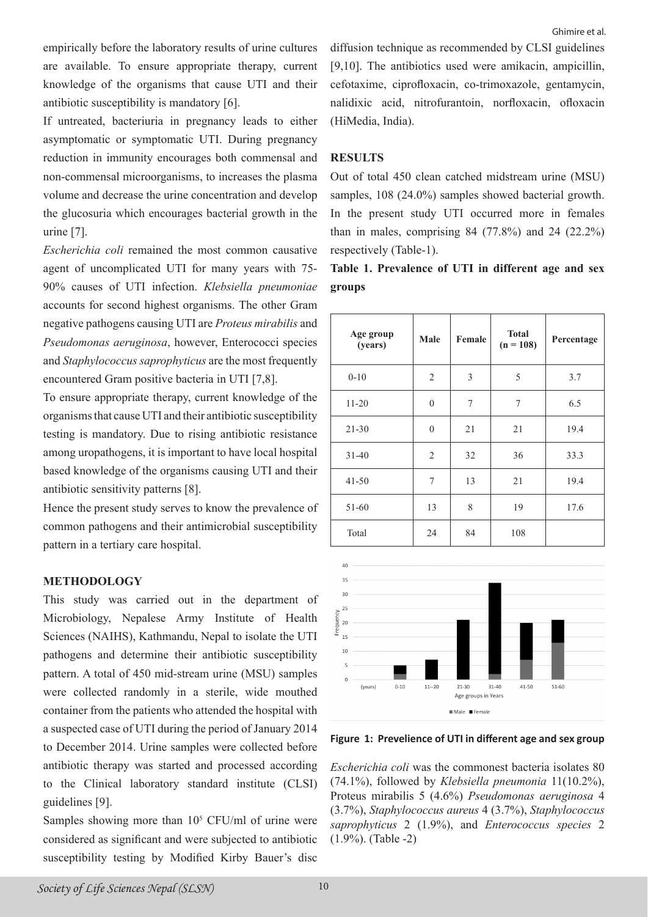empirically before the laboratory results of urine cultures are available. To ensure appropriate therapy, current knowledge of the organisms that cause UTI and their antibiotic susceptibility is mandatory [6].

If untreated, bacteriuria in pregnancy leads to either asymptomatic or symptomatic UTI. During pregnancy reduction in immunity encourages both commensal and non-commensal microorganisms, to increases the plasma volume and decrease the urine concentration and develop the glucosuria which encourages bacterial growth in the urine [7].

*Escherichia coli* remained the most common causative agent of uncomplicated UTI for many years with 75- 90% causes of UTI infection. *Klebsiella pneumoniae* accounts for second highest organisms. The other Gram negative pathogens causing UTI are *Proteus mirabilis* and *Pseudomonas aeruginosa*, however, Enterococci species and *Staphylococcus saprophyticus* are the most frequently encountered Gram positive bacteria in UTI [7,8].

To ensure appropriate therapy, current knowledge of the organisms that cause UTI and their antibiotic susceptibility testing is mandatory. Due to rising antibiotic resistance among uropathogens, it is important to have local hospital based knowledge of the organisms causing UTI and their antibiotic sensitivity patterns [8].

Hence the present study serves to know the prevalence of common pathogens and their antimicrobial susceptibility pattern in a tertiary care hospital.

### **METHODOLOGY**

This study was carried out in the department of Microbiology, Nepalese Army Institute of Health Sciences (NAIHS), Kathmandu, Nepal to isolate the UTI pathogens and determine their antibiotic susceptibility pattern. A total of 450 mid-stream urine (MSU) samples were collected randomly in a sterile, wide mouthed container from the patients who attended the hospital with a suspected case of UTI during the period of January 2014 to December 2014. Urine samples were collected before antibiotic therapy was started and processed according to the Clinical laboratory standard institute (CLSI) guidelines [9].

Samples showing more than  $10<sup>5</sup>$  CFU/ml of urine were considered as significant and were subjected to antibiotic susceptibility testing by Modified Kirby Bauer's disc

diffusion technique as recommended by CLSI guidelines [9,10]. The antibiotics used were amikacin, ampicillin, cefotaxime, ciprofloxacin, co-trimoxazole, gentamycin, nalidixic acid, nitrofurantoin, norfloxacin, ofloxacin

# **RESULTS**

(HiMedia, India).

Out of total 450 clean catched midstream urine (MSU) samples, 108 (24.0%) samples showed bacterial growth. In the present study UTI occurred more in females than in males, comprising  $84$  (77.8%) and 24 (22.2%) respectively (Table-1).

# **Table 1. Prevalence of UTI in different age and sex groups**

| Age group<br>(years) | Male           | Female | <b>Total</b><br>$(n = 108)$ | Percentage |  |
|----------------------|----------------|--------|-----------------------------|------------|--|
| $0 - 10$             | $\mathfrak{2}$ | 3      | 5                           | 3.7        |  |
| $11 - 20$            | $\theta$       | 7      | 7                           | 6.5        |  |
| $21 - 30$            | $\mathbf{0}$   | 21     | 21                          | 19.4       |  |
| $31 - 40$            | $\mathfrak{2}$ | 32     | 36                          | 33.3       |  |
| $41 - 50$            | 7              | 13     | 21                          | 19.4       |  |
| 51-60                | 13             | 8      | 19                          | 17.6       |  |
| Total                | 24             | 84     | 108                         |            |  |



**Figure 1: Prevelience of UTI in different age and sex group**

*Escherichia coli* was the commonest bacteria isolates 80 (74.1%), followed by *Klebsiella pneumonia* 11(10.2%), Proteus mirabilis 5 (4.6%) *Pseudomonas aeruginosa* 4 (3.7%), *Staphylococcus aureus* 4 (3.7%), *Staphylococcus saprophyticus* 2 (1.9%), and *Enterococcus species* 2 (1.9%). (Table -2)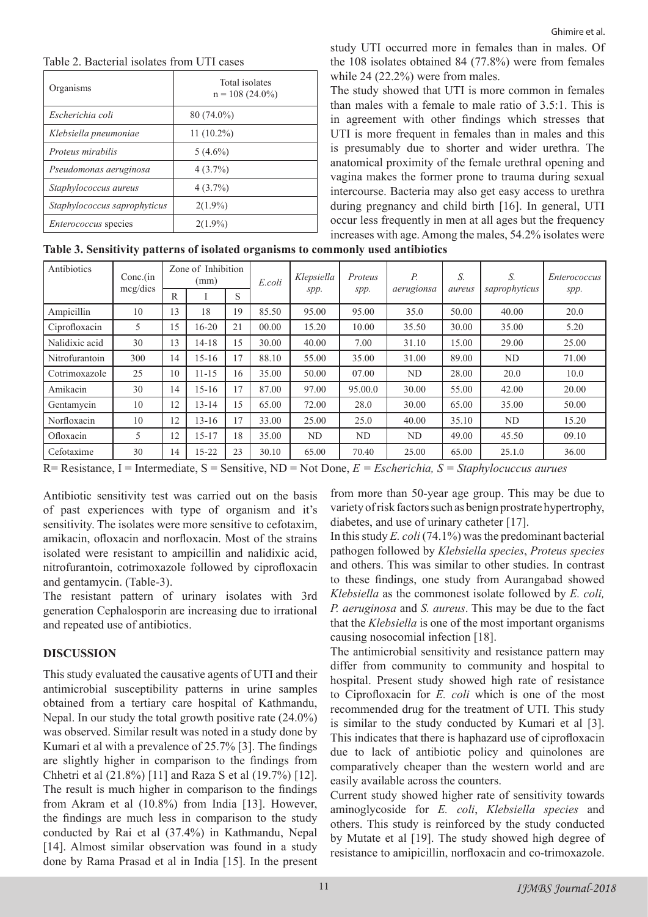#### Table 2. Bacterial isolates from UTI cases

| Organisms                    | Total isolates<br>$n = 108(24.0\%)$ |
|------------------------------|-------------------------------------|
| Escherichia coli             | $80(74.0\%)$                        |
| Klebsiella pneumoniae        | $11(10.2\%)$                        |
| <i>Proteus mirabilis</i>     | $5(4.6\%)$                          |
| Pseudomonas aeruginosa       | $4(3.7\%)$                          |
| Staphylococcus aureus        | $4(3.7\%)$                          |
| Staphylococcus saprophyticus | $2(1.9\%)$                          |
| <i>Enterococcus</i> species  | $2(1.9\%)$                          |

study UTI occurred more in females than in males. Of the 108 isolates obtained 84 (77.8%) were from females while 24 (22.2%) were from males.

The study showed that UTI is more common in females than males with a female to male ratio of 3.5:1. This is in agreement with other findings which stresses that UTI is more frequent in females than in males and this is presumably due to shorter and wider urethra. The anatomical proximity of the female urethral opening and vagina makes the former prone to trauma during sexual intercourse. Bacteria may also get easy access to urethra during pregnancy and child birth [16]. In general, UTI occur less frequently in men at all ages but the frequency increases with age. Among the males, 54.2% isolates were

**Table 3. Sensitivity patterns of isolated organisms to commonly used antibiotics**

| Antibiotics    | $Conc$ .(in | Zone of Inhibition<br>(mm) |           | E.coli         | Klepsiella | Proteus | Р.      | S.         | S.     | Enterococcus  |       |
|----------------|-------------|----------------------------|-----------|----------------|------------|---------|---------|------------|--------|---------------|-------|
|                | mcg/dics    | R                          |           | S              |            | spp.    | spp.    | aerugionsa | aureus | saprophyticus | spp.  |
| Ampicillin     | 10          | 13                         | 18        | 19             | 85.50      | 95.00   | 95.00   | 35.0       | 50.00  | 40.00         | 20.0  |
| Ciprofloxacin  | 5           | 15                         | 16-20     | 21             | 00.00      | 15.20   | 10.00   | 35.50      | 30.00  | 35.00         | 5.20  |
| Nalidixic acid | 30          | 13                         | 14-18     | 15             | 30.00      | 40.00   | 7.00    | 31.10      | 15.00  | 29.00         | 25.00 |
| Nitrofurantoin | 300         | 14                         | $15-16$   | $\overline{7}$ | 88.10      | 55.00   | 35.00   | 31.00      | 89.00  | ND            | 71.00 |
| Cotrimoxazole  | 25          | 10                         | $11 - 15$ | 16             | 35.00      | 50.00   | 07.00   | ND         | 28.00  | 20.0          | 10.0  |
| Amikacin       | 30          | 14                         | $15-16$   | 17             | 87.00      | 97.00   | 95.00.0 | 30.00      | 55.00  | 42.00         | 20.00 |
| Gentamycin     | 10          | 12                         | 13-14     | 15             | 65.00      | 72.00   | 28.0    | 30.00      | 65.00  | 35.00         | 50.00 |
| Norfloxacin    | 10          | 12                         | $13 - 16$ | 17             | 33.00      | 25.00   | 25.0    | 40.00      | 35.10  | ND            | 15.20 |
| Ofloxacin      | 5           | 12                         | $15 - 17$ | 18             | 35.00      | ND      | ND      | ND         | 49.00  | 45.50         | 09.10 |
| Cefotaxime     | 30          | 14                         | $15 - 22$ | 23             | 30.10      | 65.00   | 70.40   | 25.00      | 65.00  | 25.1.0        | 36.00 |

R= Resistance, I = Intermediate, S = Sensitive, ND = Not Done, *E = Escherichia, S = Staphylocuccus aurues*

Antibiotic sensitivity test was carried out on the basis of past experiences with type of organism and it's sensitivity. The isolates were more sensitive to cefotaxim, amikacin, ofloxacin and norfloxacin. Most of the strains isolated were resistant to ampicillin and nalidixic acid, nitrofurantoin, cotrimoxazole followed by ciprofloxacin and gentamycin. (Table-3).

The resistant pattern of urinary isolates with 3rd generation Cephalosporin are increasing due to irrational and repeated use of antibiotics.

# **DISCUSSION**

This study evaluated the causative agents of UTI and their antimicrobial susceptibility patterns in urine samples obtained from a tertiary care hospital of Kathmandu, Nepal. In our study the total growth positive rate (24.0%) was observed. Similar result was noted in a study done by Kumari et al with a prevalence of 25.7% [3]. The findings are slightly higher in comparison to the findings from Chhetri et al (21.8%) [11] and Raza S et al (19.7%) [12]. The result is much higher in comparison to the findings from Akram et al (10.8%) from India [13]. However, the findings are much less in comparison to the study conducted by Rai et al (37.4%) in Kathmandu, Nepal [14]. Almost similar observation was found in a study done by Rama Prasad et al in India [15]. In the present from more than 50-year age group. This may be due to variety of risk factors such as benign prostrate hypertrophy, diabetes, and use of urinary catheter [17].

In this study *E. coli* (74.1%) was the predominant bacterial pathogen followed by *Klebsiella species*, *Proteus species*  and others. This was similar to other studies. In contrast to these findings, one study from Aurangabad showed *Klebsiella* as the commonest isolate followed by *E. coli, P. aeruginosa* and *S. aureus*. This may be due to the fact that the *Klebsiella* is one of the most important organisms causing nosocomial infection [18].

The antimicrobial sensitivity and resistance pattern may differ from community to community and hospital to hospital. Present study showed high rate of resistance to Ciprofloxacin for *E. coli* which is one of the most recommended drug for the treatment of UTI. This study is similar to the study conducted by Kumari et al [3]. This indicates that there is haphazard use of ciprofloxacin due to lack of antibiotic policy and quinolones are comparatively cheaper than the western world and are easily available across the counters.

Current study showed higher rate of sensitivity towards aminoglycoside for *E. coli*, *Klebsiella species* and others. This study is reinforced by the study conducted by Mutate et al [19]. The study showed high degree of resistance to amipicillin, norfloxacin and co-trimoxazole.